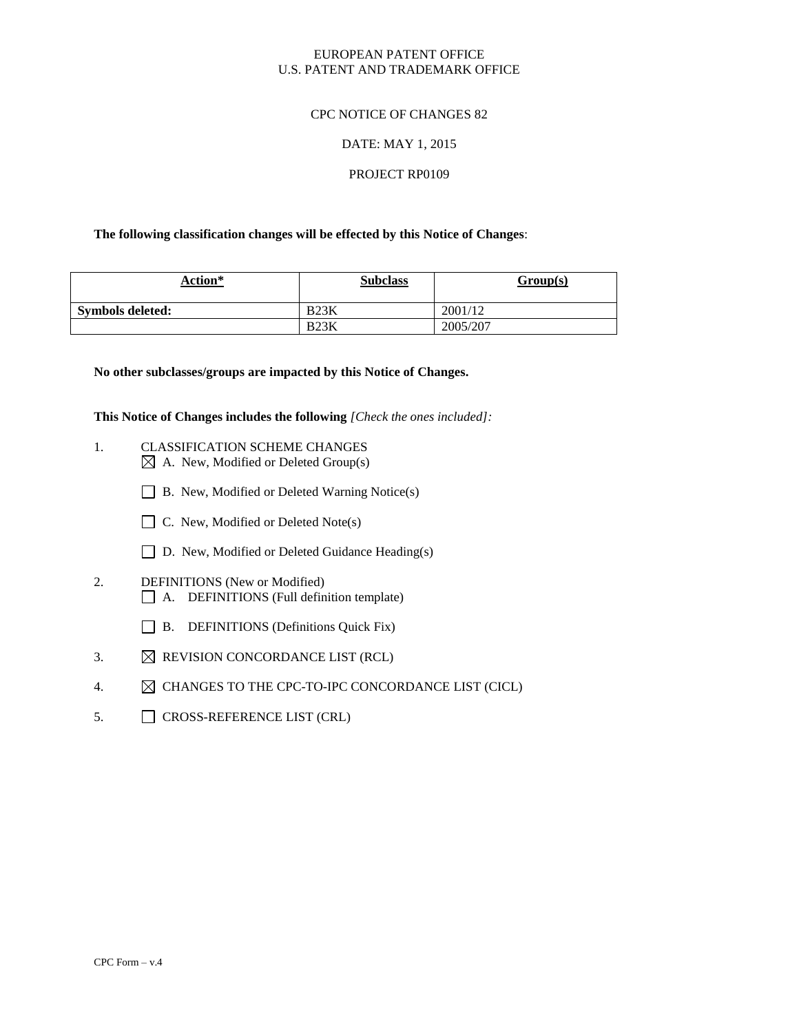# EUROPEAN PATENT OFFICE U.S. PATENT AND TRADEMARK OFFICE

# CPC NOTICE OF CHANGES 82

# DATE: MAY 1, 2015

# PROJECT RP0109

#### **The following classification changes will be effected by this Notice of Changes**:

| Action*                 | <b>Subclass</b> | Group(s) |
|-------------------------|-----------------|----------|
| <b>Symbols deleted:</b> | $\mathbf{P}$    | 2001/12  |
|                         | D22V            | 2005/207 |

#### **No other subclasses/groups are impacted by this Notice of Changes.**

**This Notice of Changes includes the following** *[Check the ones included]:*

- 1. CLASSIFICATION SCHEME CHANGES  $\boxtimes$  A. New, Modified or Deleted Group(s)
	- B. New, Modified or Deleted Warning Notice(s)
	- $\Box$  C. New, Modified or Deleted Note(s)
	- □ D. New, Modified or Deleted Guidance Heading(s)
- 2. DEFINITIONS (New or Modified) A. DEFINITIONS (Full definition template)
	- $\Box$  B. DEFINITIONS (Definitions Quick Fix)
- 3.  $\boxtimes$  REVISION CONCORDANCE LIST (RCL)
- 4.  $\boxtimes$  CHANGES TO THE CPC-TO-IPC CONCORDANCE LIST (CICL)
- 5. CROSS-REFERENCE LIST (CRL)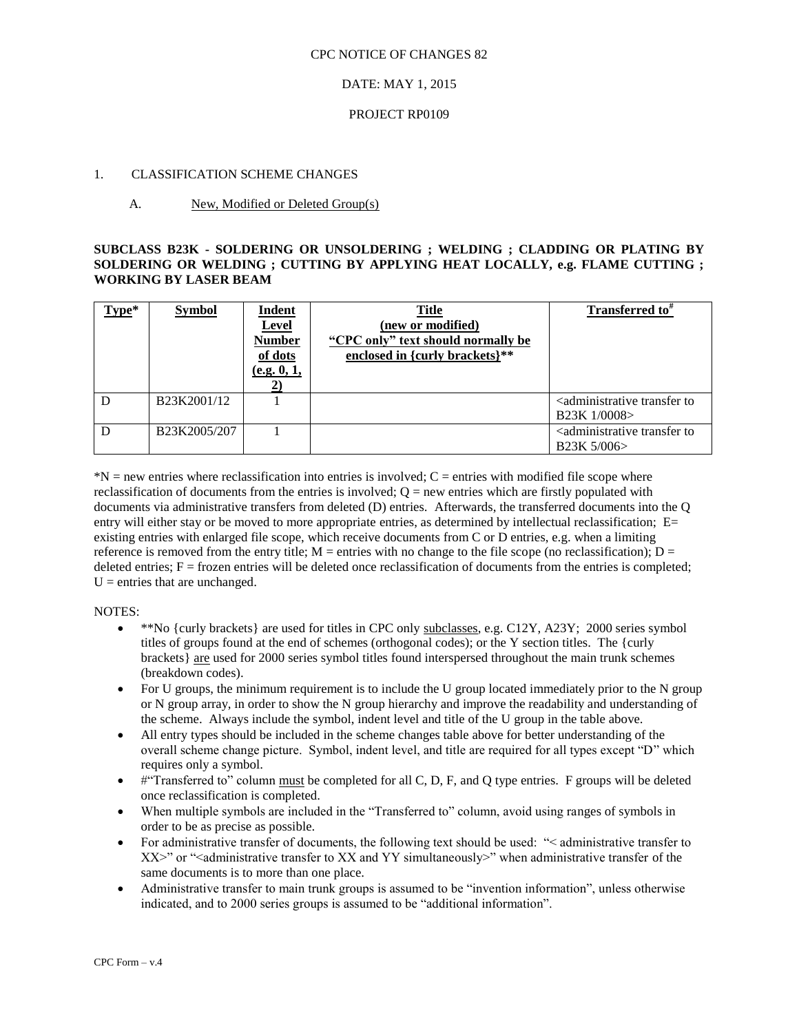#### CPC NOTICE OF CHANGES 82

# DATE: MAY 1, 2015

#### PROJECT RP0109

### 1. CLASSIFICATION SCHEME CHANGES

# A. New, Modified or Deleted Group(s)

# **SUBCLASS B23K - SOLDERING OR UNSOLDERING ; WELDING ; CLADDING OR PLATING BY SOLDERING OR WELDING ; CUTTING BY APPLYING HEAT LOCALLY, e.g. FLAME CUTTING ; WORKING BY LASER BEAM**

| Type* | <b>Symbol</b>                         | <b>Indent</b><br><b>Level</b><br><b>Number</b><br>of dots<br>(e.g. 0, 1, | <b>Title</b><br>(new or modified)<br>"CPC only" text should normally be<br>enclosed in {curly brackets}** | <b>Transferred to</b>                                                 |
|-------|---------------------------------------|--------------------------------------------------------------------------|-----------------------------------------------------------------------------------------------------------|-----------------------------------------------------------------------|
| D     | B <sub>23</sub> K <sub>2001</sub> /12 |                                                                          |                                                                                                           | <administrative to<br="" transfer="">B23K 1/0008&gt;</administrative> |
| D     | B23K2005/207                          |                                                                          |                                                                                                           | <administrative to<br="" transfer="">B23K 5/006&gt;</administrative>  |

 $N =$  new entries where reclassification into entries is involved;  $C =$  entries with modified file scope where reclassification of documents from the entries is involved;  $O =$  new entries which are firstly populated with documents via administrative transfers from deleted (D) entries. Afterwards, the transferred documents into the Q entry will either stay or be moved to more appropriate entries, as determined by intellectual reclassification; E= existing entries with enlarged file scope, which receive documents from C or D entries, e.g. when a limiting reference is removed from the entry title;  $M =$  entries with no change to the file scope (no reclassification);  $D =$ deleted entries;  $F =$  frozen entries will be deleted once reclassification of documents from the entries is completed;  $U =$  entries that are unchanged.

#### NOTES:

- $*$ <sup>\*\*</sup>No {curly brackets} are used for titles in CPC only subclasses, e.g. C12Y, A23Y; 2000 series symbol titles of groups found at the end of schemes (orthogonal codes); or the Y section titles. The {curly brackets} are used for 2000 series symbol titles found interspersed throughout the main trunk schemes (breakdown codes).
- For U groups, the minimum requirement is to include the U group located immediately prior to the N group or N group array, in order to show the N group hierarchy and improve the readability and understanding of the scheme. Always include the symbol, indent level and title of the U group in the table above.
- All entry types should be included in the scheme changes table above for better understanding of the overall scheme change picture. Symbol, indent level, and title are required for all types except "D" which requires only a symbol.
- $\bullet$  #"Transferred to" column must be completed for all C, D, F, and Q type entries. F groups will be deleted once reclassification is completed.
- When multiple symbols are included in the "Transferred to" column, avoid using ranges of symbols in order to be as precise as possible.
- For administrative transfer of documents, the following text should be used: "< administrative transfer to  $XX>$ " or "<administrative transfer to XX and YY simultaneously>" when administrative transfer of the same documents is to more than one place.
- Administrative transfer to main trunk groups is assumed to be "invention information", unless otherwise indicated, and to 2000 series groups is assumed to be "additional information".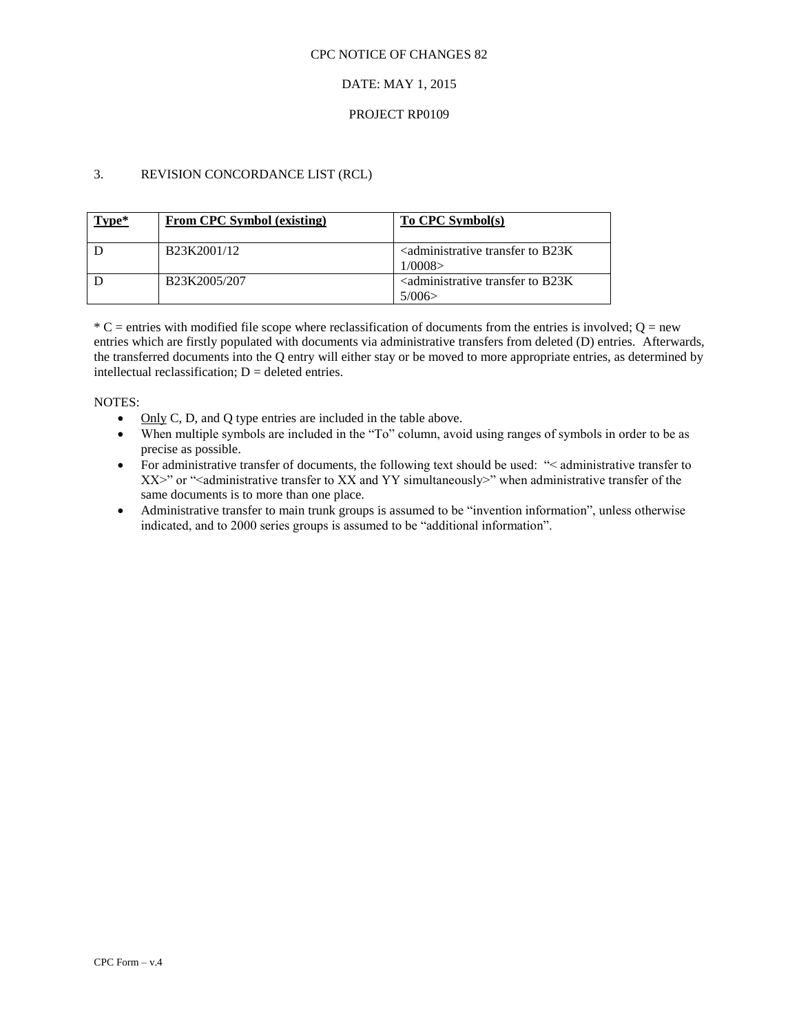#### CPC NOTICE OF CHANGES 82

# DATE: MAY 1, 2015

# PROJECT RP0109

# 3. REVISION CONCORDANCE LIST (RCL)

| Type* | From CPC Symbol (existing)             | To CPC Symbol(s)                                                              |
|-------|----------------------------------------|-------------------------------------------------------------------------------|
|       | B <sub>23</sub> K <sub>2001</sub> /12  | $\alpha$ <administrative b23k<br="" to="" transfer="">1/0008</administrative> |
|       | B <sub>23</sub> K <sub>2005</sub> /207 | 5/006                                                                         |

 $*$  C = entries with modified file scope where reclassification of documents from the entries is involved; Q = new entries which are firstly populated with documents via administrative transfers from deleted (D) entries. Afterwards, the transferred documents into the Q entry will either stay or be moved to more appropriate entries, as determined by intellectual reclassification;  $D =$  deleted entries.

NOTES:

- $\bullet$  Only C, D, and Q type entries are included in the table above.
- When multiple symbols are included in the "To" column, avoid using ranges of symbols in order to be as precise as possible.
- For administrative transfer of documents, the following text should be used: "
learninistrative transfer to XX>" or "<administrative transfer to XX and YY simultaneously>" when administrative transfer of the same documents is to more than one place.
- Administrative transfer to main trunk groups is assumed to be "invention information", unless otherwise indicated, and to 2000 series groups is assumed to be "additional information".